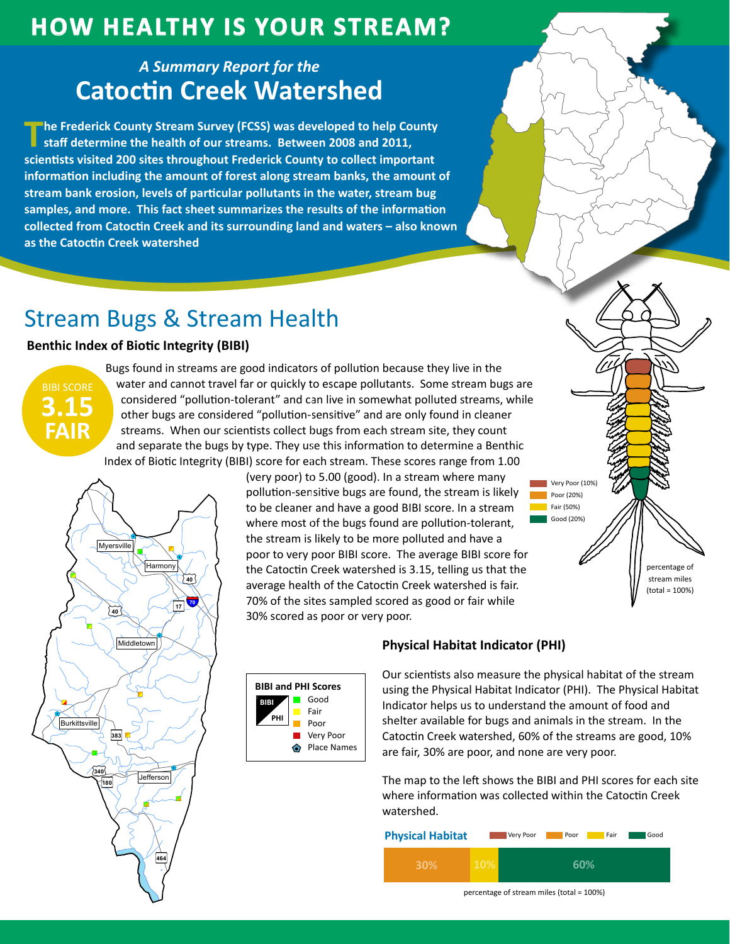# **How HealtHy is Your Stream?**

## *A Summary Report for the* **Catoctin Creek Watershed**

**The Frederick County Stream Survey (FCSS) was developed to help County staff determine the health of our streams. Between 2008 and 2011, scientists visited 200 sites throughout Frederick County to collect important information including the amount of forest along stream banks, the amount of stream bank erosion, levels of particular pollutants in the water, stream bug samples, and more. This fact sheet summarizes the results of the information collected from Catoctin Creek and its surrounding land and waters – also known as the Catoctin Creek watershed**

# Stream Bugs & Stream Health

 $\hat{\mathbf{e}}$ 

**)**<br> **1883**<br> **1991**<br> **1991**<br> **1991**<br> **1991**<br> **1991**<br> **1991** 

Æÿ**464**

"

"

**Jefferson** 

"

Middletov<br>
Middletov<br>
(1893)<br>
(1893)<br>
(1893)<br>
(1893)<br>
(1894)<br>
(1894)<br>
(1894)<br>
(1894)<br>
(1894)<br>
(1894)<br>
(1894)<br>
(1894)<br>
(1894)<br>
(1894)<br>
(1894)<br>
(1894)<br>
(1894)<br>
(1894)<br>
(1894)<br>
(1894)<br>
(1894)<br>
(1894)<br>
(1894)<br>
(1894)<br>
(1894)<br>

Æÿ**383**

Myersville<br>
Myersville<br>
Middletown<br>
Middletown<br>
Middletown<br>
Middletown<br>
Middletown<br>
Middletown<br>
Middletown<br>
Middletown<br>
Middletown<br>
Middletown<br>
Middletown<br>
Middletown<br>
Middletown<br>
Middletown<br>
Middletown<br>
Middletown<br>
Middle

£¤**40**

**Myersville** 

"

**Middletown** 

 $\mathbf{\hat{o}}$ 

Harmony

Myersville<br>
Myersville<br>
(Hammony Contractions)<br>
(Hammony Contractions)<br>
(Hammony Contractions)<br>
(Hammony Contractions)<br>
(Hammony Contractions)<br>
(Hammony Contractions)<br>
(Hammony Contractions)

 $\hat{\mathbf{e}}$ 

Æÿ**17**

£¤**40**

"

\$1

"

### **Benthic Index of Biotic Integrity (BIBI)**

\$1

"



 $\overline{6}$ 

"

Burkittsville

"

Myersville<br>
Myersville<br>
Elurkittsville<br>
Elurkittsville<br>
Tags

"

"

£¤**340**

Æÿ**180**

)<br>)<br>)<br>)<br>)<br><br><br><br><br><br><br><br><br><br><br><br><br><br><br><br><br><br><br><br><br><br><br><br><br><br><br><br>

Bugs found in streams are good indicators of pollution because they live in the water and cannot travel far or quickly to escape pollutants. Some stream bugs are considered "pollution-tolerant" and can live in somewhat polluted streams, while other bugs are considered "pollution-sensitive" and are only found in cleaner streams. When our scientists collect bugs from each stream site, they count and separate the bugs by type. They use this information to determine a Benthic Index of Biotic Integrity (BIBI) score for each stream. These scores range from 1.00 " Index of Biotic Integrity (BIBI<br>
Mayersville)<br>
Mayersville<br>
Mayersville<br>
Mayersville<br>
Mayersville<br>
Mayersville<br>
Mayersville<br>
Mayersville<br>
Mayersville<br>
Mayersville<br>
Mayersville<br>
Mayersville<br>
Mayersville<br>
Mayersville<br>
Mayers Index of Biotic Integrity (BII<br>
Myersville<br>
Myersville<br>
Middletown<br>
Middletown<br>
Middletown<br>
Middletown<br>
Middletown<br>
Middletown<br>
Myersville<br>
Myersville<br>
Myersville<br>
Myersville<br>
Myersville<br>
Myersville<br>
Myersville<br>
Myersville

(very poor) to 5.00 (good). In a stream where many pollution-sensitive bugs are found, the stream is likely to be cleaner and have a good BIBI score. In a stream where most of the bugs found are pollution-tolerant, the stream is likely to be more polluted and have a poor to very poor BIBI score. The average BIBI score for the Catoctin Creek watershed is 3.15, telling us that the average health of the Catoctin Creek watershed is fair. 70% of the sites sampled scored as good or fair while 30% scored as poor or very poor. " Myersville (Karoline Karoline Karoline Karoline Karoline Karoline Karoline Karoline Karoline Karoline Karoline Karoline Karoline Karoline Karoline Karoline Karoline Karoline Karoline Karoline Karoline Karoline Karoline Kar Education de la marie de la marière de la marière de la marière de la marière de la marière de la marière de la marière de la marière de la marière de la marière de la marière de la marière de la marière de la marière de l Frameny (Frameny Capital Report) Myersville (Myersville)<br>
Middletown (Middletown )<br>
(Middletown )<br>
(Burkittsville)<br>
(Burkittsville)<br>
(Burkittsville)<br>
(Burkittsville)<br>
(Burkittsville)<br>
(Burkittsville)



### **Physical Habitat Indicator (PHI)**

Our scientists also measure the physical habitat of the stream using the Physical Habitat Indicator (PHI). The Physical Habitat Indicator helps us to understand the amount of food and shelter available for bugs and animals in the stream. In the Catoctin Creek watershed, 60% of the streams are good, 10% are fair, 30% are poor, and none are very poor.

Very Poor (10%) Poor (20%) Fair (50%) Good (20%)

> percentage of stream miles (total = 100%)

The map to the left shows the BIBI and PHI scores for each site where information was collected within the Catoctin Creek watershed.



percentage of stream miles (total = 100%)